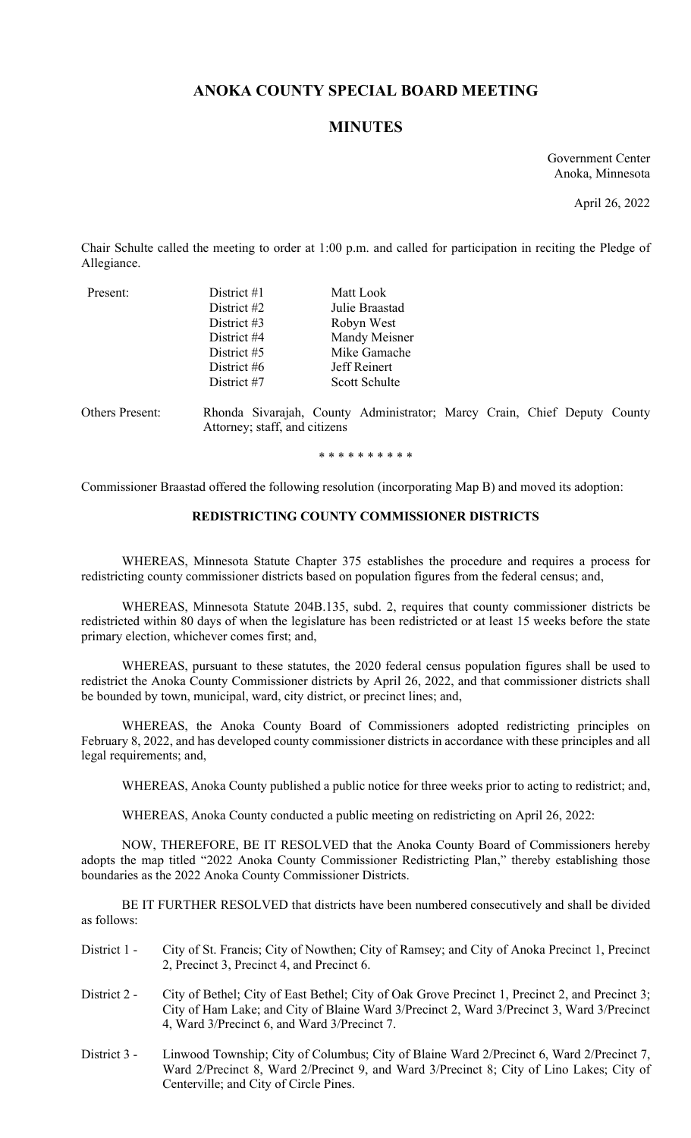# **ANOKA COUNTY SPECIAL BOARD MEETING**

## **MINUTES**

Government Center Anoka, Minnesota

April 26, 2022

Chair Schulte called the meeting to order at 1:00 p.m. and called for participation in reciting the Pledge of Allegiance.

| Present:               | District #1                   | Matt Look                                                                |
|------------------------|-------------------------------|--------------------------------------------------------------------------|
|                        | District #2                   | Julie Braastad                                                           |
|                        | District $#3$                 | Robyn West                                                               |
|                        | District #4                   | Mandy Meisner                                                            |
|                        | District #5                   | Mike Gamache                                                             |
|                        | District #6                   | Jeff Reinert                                                             |
|                        | District #7                   | Scott Schulte                                                            |
| <b>Others Present:</b> | Attorney; staff, and citizens | Rhonda Sivarajah, County Administrator; Marcy Crain, Chief Deputy County |

\* \* \* \* \* \* \* \* \* \*

Commissioner Braastad offered the following resolution (incorporating Map B) and moved its adoption:

## **REDISTRICTING COUNTY COMMISSIONER DISTRICTS**

WHEREAS, Minnesota Statute Chapter 375 establishes the procedure and requires a process for redistricting county commissioner districts based on population figures from the federal census; and,

WHEREAS, Minnesota Statute 204B.135, subd. 2, requires that county commissioner districts be redistricted within 80 days of when the legislature has been redistricted or at least 15 weeks before the state primary election, whichever comes first; and,

WHEREAS, pursuant to these statutes, the 2020 federal census population figures shall be used to redistrict the Anoka County Commissioner districts by April 26, 2022, and that commissioner districts shall be bounded by town, municipal, ward, city district, or precinct lines; and,

WHEREAS, the Anoka County Board of Commissioners adopted redistricting principles on February 8, 2022, and has developed county commissioner districts in accordance with these principles and all legal requirements; and,

WHEREAS, Anoka County published a public notice for three weeks prior to acting to redistrict; and,

WHEREAS, Anoka County conducted a public meeting on redistricting on April 26, 2022:

NOW, THEREFORE, BE IT RESOLVED that the Anoka County Board of Commissioners hereby adopts the map titled "2022 Anoka County Commissioner Redistricting Plan," thereby establishing those boundaries as the 2022 Anoka County Commissioner Districts.

BE IT FURTHER RESOLVED that districts have been numbered consecutively and shall be divided as follows:

- District 1 City of St. Francis; City of Nowthen; City of Ramsey; and City of Anoka Precinct 1, Precinct 2, Precinct 3, Precinct 4, and Precinct 6.
- District 2 City of Bethel; City of East Bethel; City of Oak Grove Precinct 1, Precinct 2, and Precinct 3; City of Ham Lake; and City of Blaine Ward 3/Precinct 2, Ward 3/Precinct 3, Ward 3/Precinct 4, Ward 3/Precinct 6, and Ward 3/Precinct 7.
- District 3 Linwood Township; City of Columbus; City of Blaine Ward 2/Precinct 6, Ward 2/Precinct 7, Ward 2/Precinct 8, Ward 2/Precinct 9, and Ward 3/Precinct 8; City of Lino Lakes; City of Centerville; and City of Circle Pines.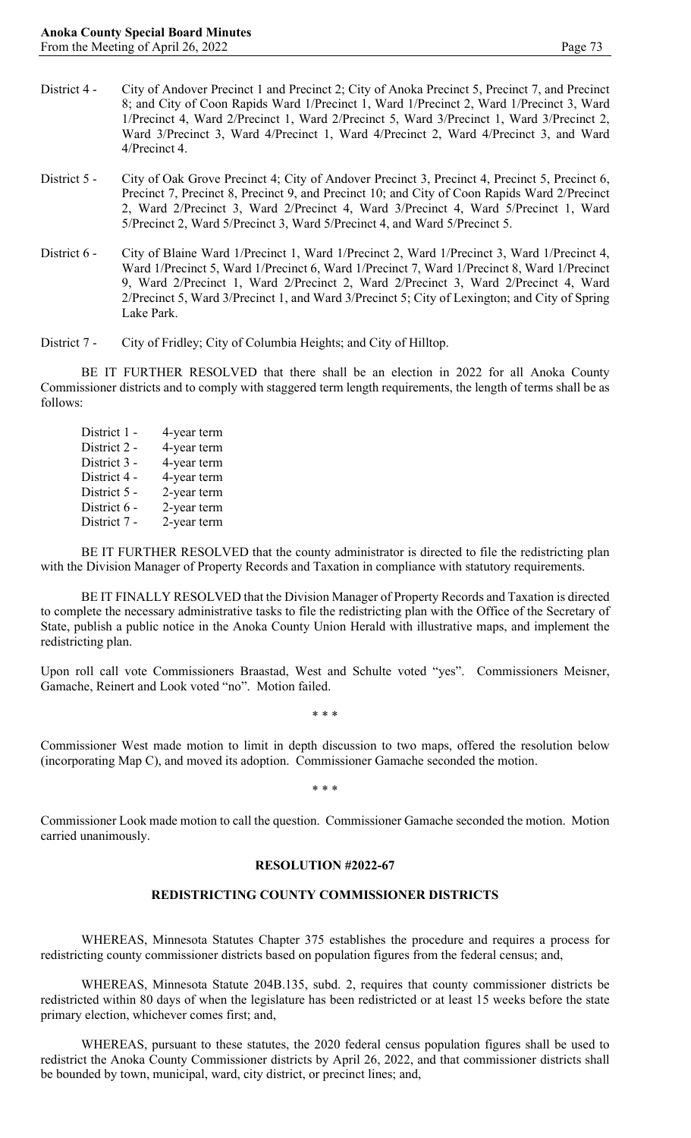- District 4 City of Andover Precinct 1 and Precinct 2; City of Anoka Precinct 5, Precinct 7, and Precinct 8; and City of Coon Rapids Ward 1/Precinct 1, Ward 1/Precinct 2, Ward 1/Precinct 3, Ward 1/Precinct 4, Ward 2/Precinct 1, Ward 2/Precinct 5, Ward 3/Precinct 1, Ward 3/Precinct 2, Ward 3/Precinct 3, Ward 4/Precinct 1, Ward 4/Precinct 2, Ward 4/Precinct 3, and Ward 4/Precinct 4.
- District 5 City of Oak Grove Precinct 4; City of Andover Precinct 3, Precinct 4, Precinct 5, Precinct 6, Precinct 7, Precinct 8, Precinct 9, and Precinct 10; and City of Coon Rapids Ward 2/Precinct 2, Ward 2/Precinct 3, Ward 2/Precinct 4, Ward 3/Precinct 4, Ward 5/Precinct 1, Ward 5/Precinct 2, Ward 5/Precinct 3, Ward 5/Precinct 4, and Ward 5/Precinct 5.
- District 6 City of Blaine Ward 1/Precinct 1, Ward 1/Precinct 2, Ward 1/Precinct 3, Ward 1/Precinct 4, Ward 1/Precinct 5, Ward 1/Precinct 6, Ward 1/Precinct 7, Ward 1/Precinct 8, Ward 1/Precinct 9, Ward 2/Precinct 1, Ward 2/Precinct 2, Ward 2/Precinct 3, Ward 2/Precinct 4, Ward 2/Precinct 5, Ward 3/Precinct 1, and Ward 3/Precinct 5; City of Lexington; and City of Spring Lake Park.

District 7 - City of Fridley; City of Columbia Heights; and City of Hilltop.

BE IT FURTHER RESOLVED that there shall be an election in 2022 for all Anoka County Commissioner districts and to comply with staggered term length requirements, the length of terms shall be as follows:

| District 1 - | 4-year term |
|--------------|-------------|
| District 2 - | 4-year term |
| District 3 - | 4-year term |
| District 4 - | 4-year term |
| District 5 - | 2-year term |
| District 6 - | 2-year term |
| District 7 - | 2-year term |
|              |             |

BE IT FURTHER RESOLVED that the county administrator is directed to file the redistricting plan with the Division Manager of Property Records and Taxation in compliance with statutory requirements.

BE IT FINALLY RESOLVED that the Division Manager of Property Records and Taxation is directed to complete the necessary administrative tasks to file the redistricting plan with the Office of the Secretary of State, publish a public notice in the Anoka County Union Herald with illustrative maps, and implement the redistricting plan.

Upon roll call vote Commissioners Braastad, West and Schulte voted "yes". Commissioners Meisner, Gamache, Reinert and Look voted "no". Motion failed.

\* \* \*

Commissioner West made motion to limit in depth discussion to two maps, offered the resolution below (incorporating Map C), and moved its adoption. Commissioner Gamache seconded the motion.

\* \* \*

Commissioner Look made motion to call the question. Commissioner Gamache seconded the motion. Motion carried unanimously.

#### **RESOLUTION #2022-67**

#### **REDISTRICTING COUNTY COMMISSIONER DISTRICTS**

WHEREAS, Minnesota Statutes Chapter 375 establishes the procedure and requires a process for redistricting county commissioner districts based on population figures from the federal census; and,

WHEREAS, Minnesota Statute 204B.135, subd. 2, requires that county commissioner districts be redistricted within 80 days of when the legislature has been redistricted or at least 15 weeks before the state primary election, whichever comes first; and,

WHEREAS, pursuant to these statutes, the 2020 federal census population figures shall be used to redistrict the Anoka County Commissioner districts by April 26, 2022, and that commissioner districts shall be bounded by town, municipal, ward, city district, or precinct lines; and,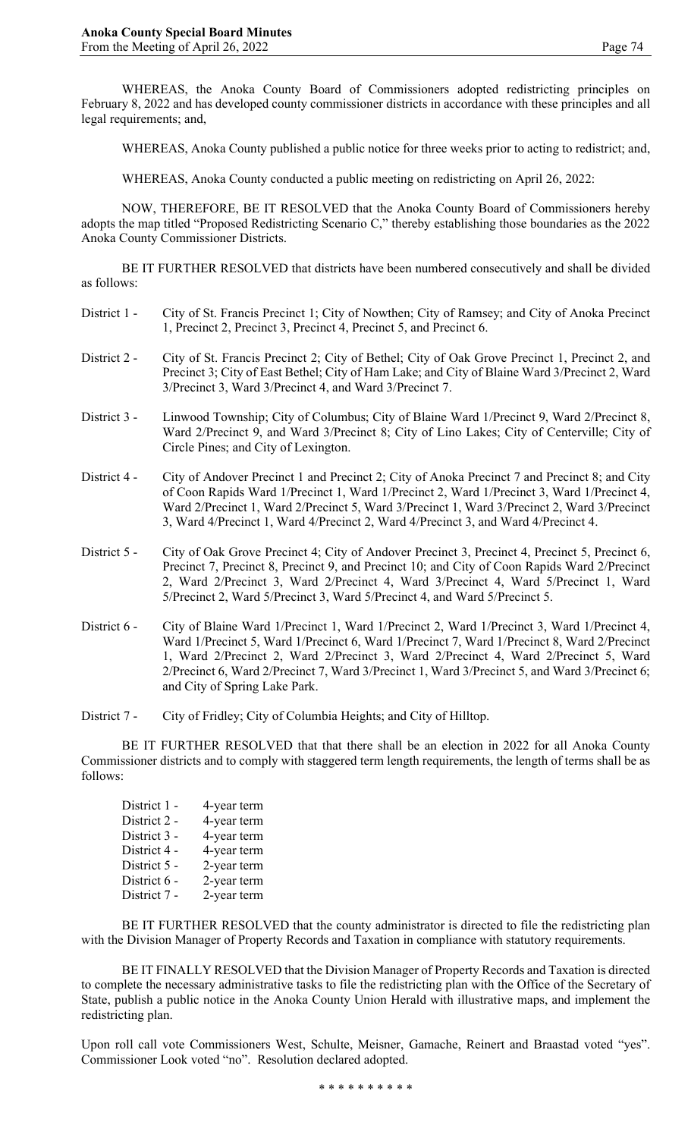WHEREAS, the Anoka County Board of Commissioners adopted redistricting principles on February 8, 2022 and has developed county commissioner districts in accordance with these principles and all legal requirements; and,

WHEREAS, Anoka County published a public notice for three weeks prior to acting to redistrict; and,

WHEREAS, Anoka County conducted a public meeting on redistricting on April 26, 2022:

NOW, THEREFORE, BE IT RESOLVED that the Anoka County Board of Commissioners hereby adopts the map titled "Proposed Redistricting Scenario C," thereby establishing those boundaries as the 2022 Anoka County Commissioner Districts.

BE IT FURTHER RESOLVED that districts have been numbered consecutively and shall be divided as follows:

- District 1 City of St. Francis Precinct 1; City of Nowthen; City of Ramsey; and City of Anoka Precinct 1, Precinct 2, Precinct 3, Precinct 4, Precinct 5, and Precinct 6.
- District 2 City of St. Francis Precinct 2; City of Bethel; City of Oak Grove Precinct 1, Precinct 2, and Precinct 3; City of East Bethel; City of Ham Lake; and City of Blaine Ward 3/Precinct 2, Ward 3/Precinct 3, Ward 3/Precinct 4, and Ward 3/Precinct 7.
- District 3 Linwood Township; City of Columbus; City of Blaine Ward 1/Precinct 9, Ward 2/Precinct 8, Ward 2/Precinct 9, and Ward 3/Precinct 8; City of Lino Lakes; City of Centerville; City of Circle Pines; and City of Lexington.
- District 4 City of Andover Precinct 1 and Precinct 2; City of Anoka Precinct 7 and Precinct 8; and City of Coon Rapids Ward 1/Precinct 1, Ward 1/Precinct 2, Ward 1/Precinct 3, Ward 1/Precinct 4, Ward 2/Precinct 1, Ward 2/Precinct 5, Ward 3/Precinct 1, Ward 3/Precinct 2, Ward 3/Precinct 3, Ward 4/Precinct 1, Ward 4/Precinct 2, Ward 4/Precinct 3, and Ward 4/Precinct 4.
- District 5 City of Oak Grove Precinct 4; City of Andover Precinct 3, Precinct 4, Precinct 5, Precinct 6, Precinct 7, Precinct 8, Precinct 9, and Precinct 10; and City of Coon Rapids Ward 2/Precinct 2, Ward 2/Precinct 3, Ward 2/Precinct 4, Ward 3/Precinct 4, Ward 5/Precinct 1, Ward 5/Precinct 2, Ward 5/Precinct 3, Ward 5/Precinct 4, and Ward 5/Precinct 5.
- District 6 City of Blaine Ward 1/Precinct 1, Ward 1/Precinct 2, Ward 1/Precinct 3, Ward 1/Precinct 4, Ward 1/Precinct 5, Ward 1/Precinct 6, Ward 1/Precinct 7, Ward 1/Precinct 8, Ward 2/Precinct 1, Ward 2/Precinct 2, Ward 2/Precinct 3, Ward 2/Precinct 4, Ward 2/Precinct 5, Ward 2/Precinct 6, Ward 2/Precinct 7, Ward 3/Precinct 1, Ward 3/Precinct 5, and Ward 3/Precinct 6; and City of Spring Lake Park.

District 7 - City of Fridley; City of Columbia Heights; and City of Hilltop.

BE IT FURTHER RESOLVED that that there shall be an election in 2022 for all Anoka County Commissioner districts and to comply with staggered term length requirements, the length of terms shall be as follows:

| District 1 - | 4-year term |
|--------------|-------------|
| District 2 - | 4-year term |
| District 3 - | 4-year term |
| District 4 - | 4-year term |
| District 5 - | 2-year term |
| District 6 - | 2-year term |
| District 7 - | 2-year term |
|              |             |

BE IT FURTHER RESOLVED that the county administrator is directed to file the redistricting plan with the Division Manager of Property Records and Taxation in compliance with statutory requirements.

BE IT FINALLY RESOLVED that the Division Manager of Property Records and Taxation is directed to complete the necessary administrative tasks to file the redistricting plan with the Office of the Secretary of State, publish a public notice in the Anoka County Union Herald with illustrative maps, and implement the redistricting plan.

Upon roll call vote Commissioners West, Schulte, Meisner, Gamache, Reinert and Braastad voted "yes". Commissioner Look voted "no". Resolution declared adopted.

\* \* \* \* \* \* \* \* \* \*